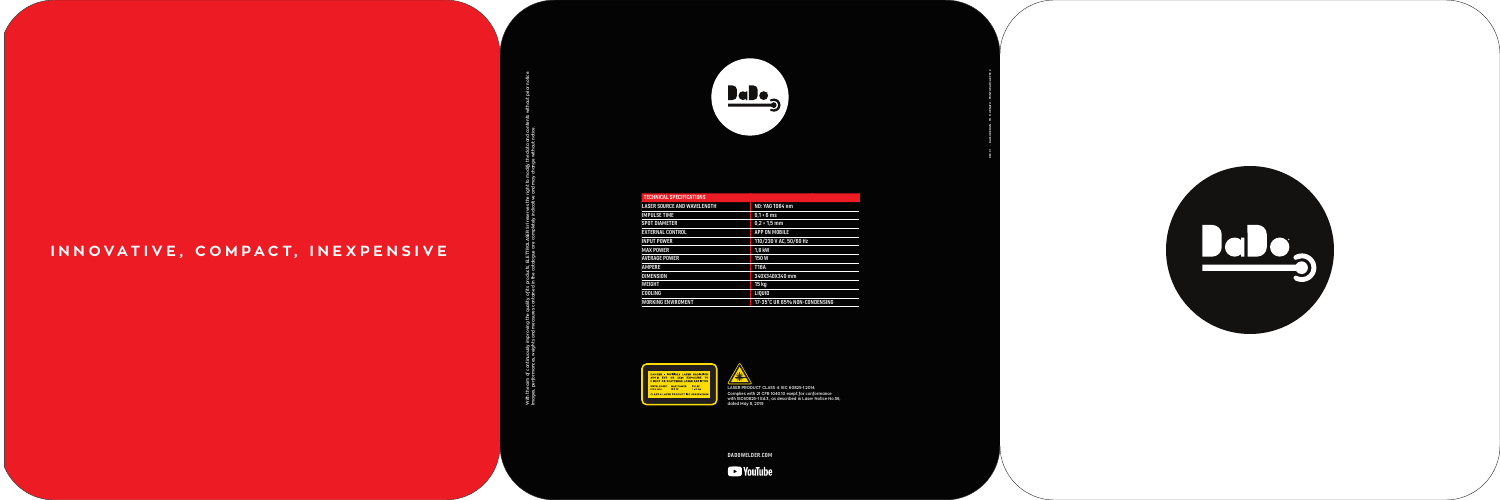**DADOWELDER.COM**







REV. 01 - BASSODESIGN - PH. R. URNATO - PRINT GRAFICA EFFE 2



### **AVERAGE POWER 150 WORKING ENVIROMENT**



**With the aim of continuously improving the quality of its products, ELETTROLASER Srl reserves the right to modify the data and contents without prior notice. Images, performances, weights and measures contained in the catalogue are completely indicative and may change without notice.** ify the c<br>חרה שו ty of its products, ELETTROLASER Srl re<br>ntained in the catalogue are completely With the aim of c<br>Images, performa

| <b>TECHNICAL SPECIFICATIONS</b>    |                               |
|------------------------------------|-------------------------------|
| <b>LASER SOURCE AND WAVELENGTH</b> | ND: YAG 1064 nm               |
| <b>IMPULSE TIME</b>                | $0.1 \div 6$ ms               |
| <b>SPOT DIAMETER</b>               | $0.2 * 1.5$ mm                |
| <b>EXTERNAL CONTROL</b>            | <b>APP ON MOBILE</b>          |
| <b>INPUT POWER</b>                 | 110/230 V AC, 50/60 Hz        |
| <b>MAX POWER</b>                   | 1.8 kW                        |
| AVERAGE POWER                      | <b>150W</b>                   |
| <b>AMPERE</b>                      | <b>T16A</b>                   |
| <b>DIMENSION</b>                   | 340X340X340 mm                |
| WEIGHT                             | 15 kg                         |
| COOLING                            | <b>LIOUID</b>                 |
| WORKING ENVIROMENT                 | 17-35°C UR 65% NON-CONDENSING |
|                                    |                               |

#### **INNOVATIVE, COMPACT, INEXPENSIVE**



**LASER PRODUCT CLASS 4: IEC 60825-1:2014. Complies with 21 CFR 1040.10 exept for conformance with IEC60825-1 Ed.3., as described in Laser Notice No.56, dated May 8, 2019**